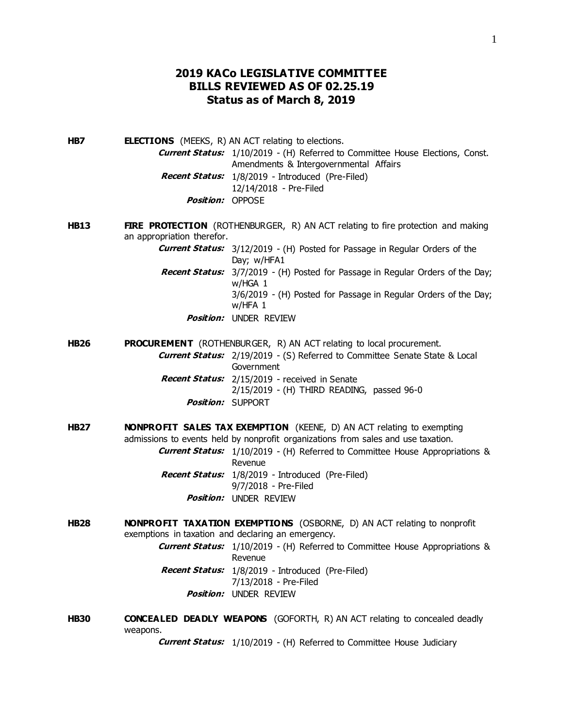## **2019 KACo LEGISLATIVE COMMITTEE BILLS REVIEWED AS OF 02.25.19 Status as of March 8, 2019**

**HB7 ELECTIONS** (MEEKS, R) AN ACT relating to elections. **Current Status:** 1/10/2019 - (H) Referred to Committee House Elections, Const. Amendments & Intergovernmental Affairs **Recent Status:** 1/8/2019 - Introduced (Pre-Filed) 12/14/2018 - Pre-Filed **Position:** OPPOSE

**HB13 FIRE PROTECTION** (ROTHENBURGER, R) AN ACT relating to fire protection and making an appropriation therefor.

> **Current Status:** 3/12/2019 - (H) Posted for Passage in Regular Orders of the Day; w/HFA1

- **Recent Status:** 3/7/2019 (H) Posted for Passage in Regular Orders of the Day; w/HGA 1 3/6/2019 - (H) Posted for Passage in Regular Orders of the Day; w/HFA 1
	- **Position:** UNDER REVIEW

**HB26 PROCUREMENT** (ROTHENBURGER, R) AN ACT relating to local procurement.

- **Current Status:** 2/19/2019 (S) Referred to Committee Senate State & Local Government **Recent Status:** 2/15/2019 - received in Senate 2/15/2019 - (H) THIRD READING, passed 96-0
	- **Position:** SUPPORT
- **HB27 NONPROFIT SALES TAX EXEMPTION** (KEENE, D) AN ACT relating to exempting admissions to events held by nonprofit organizations from sales and use taxation.

**Current Status:** 1/10/2019 - (H) Referred to Committee House Appropriations & Revenue

**Recent Status:** 1/8/2019 - Introduced (Pre-Filed) 9/7/2018 - Pre-Filed **Position:** UNDER REVIEW

**HB28 NONPROFIT TAXATION EXEMPTIONS** (OSBORNE, D) AN ACT relating to nonprofit exemptions in taxation and declaring an emergency.

> **Current Status:** 1/10/2019 - (H) Referred to Committee House Appropriations & Revenue **Recent Status:** 1/8/2019 - Introduced (Pre-Filed) 7/13/2018 - Pre-Filed

- **Position:** UNDER REVIEW
- **HB30 CONCEALED DEADLY WEAPONS** (GOFORTH, R) AN ACT relating to concealed deadly weapons.

**Current Status:** 1/10/2019 - (H) Referred to Committee House Judiciary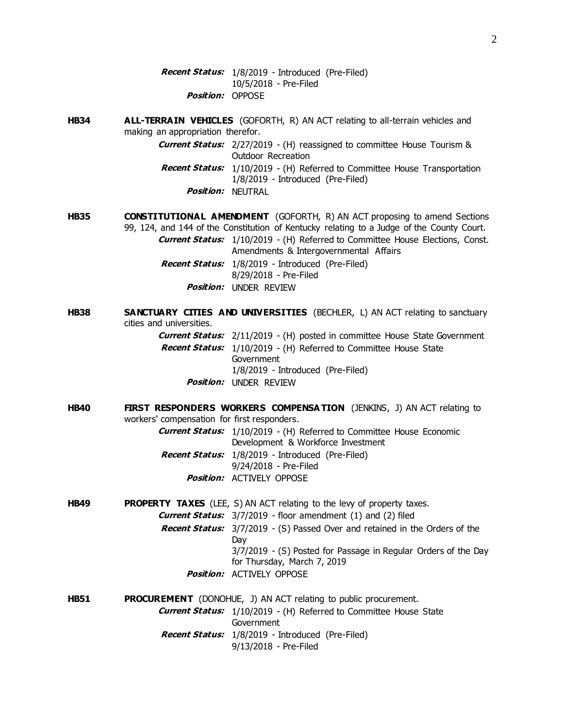**Recent Status:** 1/8/2019 - Introduced (Pre-Filed) 10/5/2018 - Pre-Filed **Position:** OPPOSE

**HB34 ALL-TERRAIN VEHICLES** (GOFORTH, R) AN ACT relating to all-terrain vehicles and making an appropriation therefor.

**Current Status:** 2/27/2019 - (H) reassigned to committee House Tourism & Outdoor Recreation **Recent Status:** 1/10/2019 - (H) Referred to Committee House Transportation

- 1/8/2019 Introduced (Pre-Filed)
- **Position:** NEUTRAL
- **HB35 CONSTITUTIONAL AMENDMENT** (GOFORTH, R) AN ACT proposing to amend Sections 99, 124, and 144 of the Constitution of Kentucky relating to a Judge of the County Court. **Current Status:** 1/10/2019 - (H) Referred to Committee House Elections, Const. Amendments & Intergovernmental Affairs **Recent Status:** 1/8/2019 - Introduced (Pre-Filed) 8/29/2018 - Pre-Filed **Position:** UNDER REVIEW
- **HB38 SANCTUARY CITIES AND UNIVERSITIES** (BECHLER, L) AN ACT relating to sanctuary cities and universities.

**Current Status:** 2/11/2019 - (H) posted in committee House State Government **Recent Status:** 1/10/2019 - (H) Referred to Committee House State **Government** 1/8/2019 - Introduced (Pre-Filed) **Position:** UNDER REVIEW

**HB40 FIRST RESPONDERS WORKERS COMPENSA TION** (JENKINS, J) AN ACT relating to workers' compensation for first responders.

**Current Status:** 1/10/2019 - (H) Referred to Committee House Economic Development & Workforce Investment **Recent Status:** 1/8/2019 - Introduced (Pre-Filed) 9/24/2018 - Pre-Filed **Position:** ACTIVELY OPPOSE

- **HB49 PROPERTY TAXES** (LEE, S) AN ACT relating to the levy of property taxes. **Current Status:** 3/7/2019 - floor amendment (1) and (2) filed **Recent Status:** 3/7/2019 - (S) Passed Over and retained in the Orders of the Day 3/7/2019 - (S) Posted for Passage in Regular Orders of the Day for Thursday, March 7, 2019 **Position:** ACTIVELY OPPOSE
- **HB51 PROCUREMENT** (DONOHUE, J) AN ACT relating to public procurement. **Current Status:** 1/10/2019 - (H) Referred to Committee House State Government **Recent Status:** 1/8/2019 - Introduced (Pre-Filed) 9/13/2018 - Pre-Filed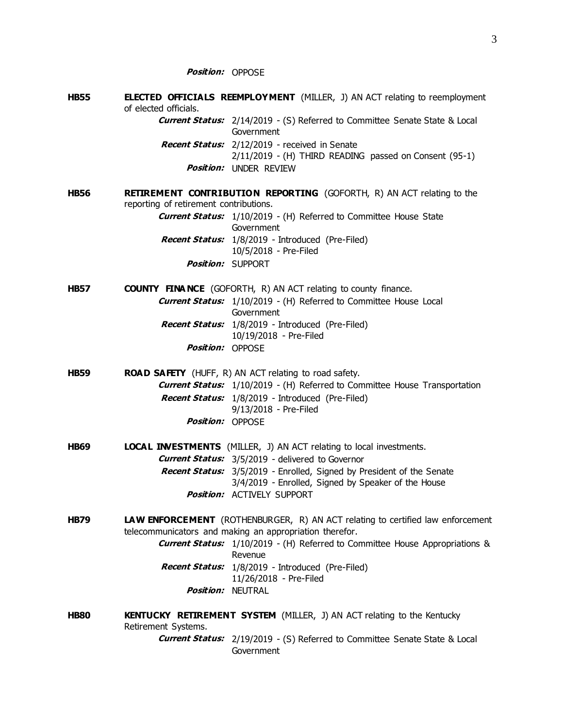**HB55 ELECTED OFFICIALS REEMPLOYMENT** (MILLER, J) AN ACT relating to reemployment of elected officials. **Current Status:** 2/14/2019 - (S) Referred to Committee Senate State & Local Government **Recent Status:** 2/12/2019 - received in Senate 2/11/2019 - (H) THIRD READING passed on Consent (95-1) **Position:** UNDER REVIEW **HB56 RETIREMENT CONTRIBUTION REPORTING** (GOFORTH, R) AN ACT relating to the reporting of retirement contributions. **Current Status:** 1/10/2019 - (H) Referred to Committee House State Government **Recent Status:** 1/8/2019 - Introduced (Pre-Filed) 10/5/2018 - Pre-Filed **Position:** SUPPORT **HB57 COUNTY FINA NCE** (GOFORTH, R) AN ACT relating to county finance. **Current Status:** 1/10/2019 - (H) Referred to Committee House Local Government **Recent Status:** 1/8/2019 - Introduced (Pre-Filed) 10/19/2018 - Pre-Filed **Position:** OPPOSE **HB59 ROAD SAFETY** (HUFF, R) AN ACT relating to road safety. **Current Status:** 1/10/2019 - (H) Referred to Committee House Transportation **Recent Status:** 1/8/2019 - Introduced (Pre-Filed) 9/13/2018 - Pre-Filed **Position:** OPPOSE **HB69 LOCAL INVESTMENTS** (MILLER, J) AN ACT relating to local investments. **Current Status:** 3/5/2019 - delivered to Governor **Recent Status:** 3/5/2019 - Enrolled, Signed by President of the Senate 3/4/2019 - Enrolled, Signed by Speaker of the House **Position:** ACTIVELY SUPPORT **HB79 LAW ENFORCEMENT** (ROTHENBURGER, R) AN ACT relating to certified law enforcement telecommunicators and making an appropriation therefor. **Current Status:** 1/10/2019 - (H) Referred to Committee House Appropriations & Revenue **Recent Status:** 1/8/2019 - Introduced (Pre-Filed) 11/26/2018 - Pre-Filed **Position:** NEUTRAL **HB80 KENTUCKY RETIREMENT SYSTEM** (MILLER, J) AN ACT relating to the Kentucky Retirement Systems. **Current Status:** 2/19/2019 - (S) Referred to Committee Senate State & Local Government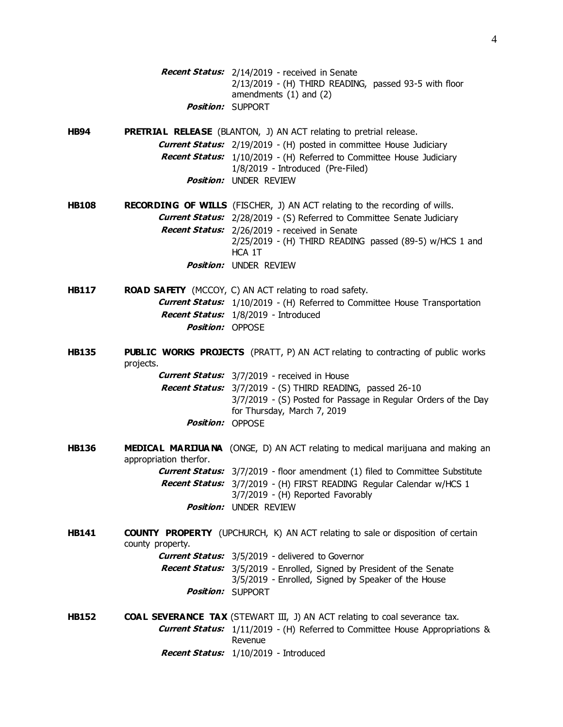**Recent Status:** 2/14/2019 - received in Senate 2/13/2019 - (H) THIRD READING, passed 93-5 with floor amendments (1) and (2) **Position:** SUPPORT

**HB94 PRETRIAL RELEASE** (BLANTON, J) AN ACT relating to pretrial release. **Current Status:** 2/19/2019 - (H) posted in committee House Judiciary **Recent Status:** 1/10/2019 - (H) Referred to Committee House Judiciary 1/8/2019 - Introduced (Pre-Filed) **Position:** UNDER REVIEW

**HB108 RECORDING OF WILLS** (FISCHER, J) AN ACT relating to the recording of wills. **Current Status:** 2/28/2019 - (S) Referred to Committee Senate Judiciary **Recent Status:** 2/26/2019 - received in Senate 2/25/2019 - (H) THIRD READING passed (89-5) w/HCS 1 and HCA 1T **Position:** UNDER REVIEW

**HB117 ROAD SAFETY** (MCCOY, C) AN ACT relating to road safety. **Current Status:** 1/10/2019 - (H) Referred to Committee House Transportation **Recent Status:** 1/8/2019 - Introduced **Position:** OPPOSE

**HB135 PUBLIC WORKS PROJECTS** (PRATT, P) AN ACT relating to contracting of public works projects.

> **Current Status:** 3/7/2019 - received in House **Recent Status:** 3/7/2019 - (S) THIRD READING, passed 26-10 3/7/2019 - (S) Posted for Passage in Regular Orders of the Day for Thursday, March 7, 2019 **Position:** OPPOSE

**HB136 MEDICAL MARIJUA NA** (ONGE, D) AN ACT relating to medical marijuana and making an appropriation therfor. **Current Status:** 3/7/2019 - floor amendment (1) filed to Committee Substitute **Recent Status:** 3/7/2019 - (H) FIRST READING Regular Calendar w/HCS 1 3/7/2019 - (H) Reported Favorably

**Position:** UNDER REVIEW

**HB141 COUNTY PROPERTY** (UPCHURCH, K) AN ACT relating to sale or disposition of certain county property.

**Current Status:** 3/5/2019 - delivered to Governor **Recent Status:** 3/5/2019 - Enrolled, Signed by President of the Senate 3/5/2019 - Enrolled, Signed by Speaker of the House **Position:** SUPPORT

**HB152 COAL SEVERANCE TAX** (STEWART III, J) AN ACT relating to coal severance tax. **Current Status:** 1/11/2019 - (H) Referred to Committee House Appropriations & Revenue **Recent Status:** 1/10/2019 - Introduced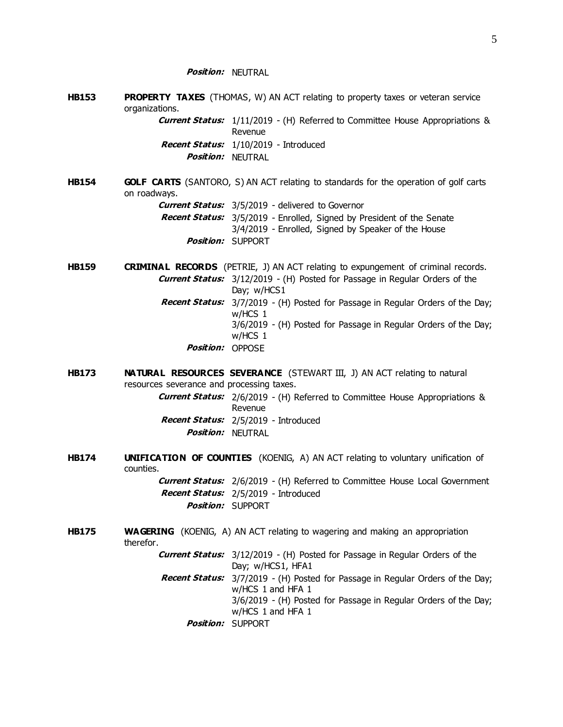**Position:** NEUTRAL

**HB153 PROPERTY TAXES** (THOMAS, W) AN ACT relating to property taxes or veteran service organizations.

**Current Status:** 1/11/2019 - (H) Referred to Committee House Appropriations & Revenue **Recent Status:** 1/10/2019 - Introduced **Position:** NEUTRAL

**HB154 GOLF CARTS** (SANTORO, S) AN ACT relating to standards for the operation of golf carts on roadways. **Current Status:** 3/5/2019 - delivered to Governor

**Recent Status:** 3/5/2019 - Enrolled, Signed by President of the Senate 3/4/2019 - Enrolled, Signed by Speaker of the House **Position:** SUPPORT

**HB159 CRIMINAL RECORDS** (PETRIE, J) AN ACT relating to expungement of criminal records. **Current Status:** 3/12/2019 - (H) Posted for Passage in Regular Orders of the Day; w/HCS1 **Recent Status:** 3/7/2019 - (H) Posted for Passage in Regular Orders of the Day; w/HCS 1 3/6/2019 - (H) Posted for Passage in Regular Orders of the Day; w/HCS 1 **Position:** OPPOSE

**HB173 NATURAL RESOURCES SEVERANCE** (STEWART III, J) AN ACT relating to natural resources severance and processing taxes.

> **Current Status:** 2/6/2019 - (H) Referred to Committee House Appropriations & Revenue **Recent Status:** 2/5/2019 - Introduced **Position:** NEUTRAL

**HB174 UNIFICATION OF COUNTIES** (KOENIG, A) AN ACT relating to voluntary unification of counties.

**Current Status:** 2/6/2019 - (H) Referred to Committee House Local Government **Recent Status:** 2/5/2019 - Introduced **Position:** SUPPORT

**HB175 WAGERING** (KOENIG, A) AN ACT relating to wagering and making an appropriation therefor.

> **Current Status:** 3/12/2019 - (H) Posted for Passage in Regular Orders of the Day; w/HCS1, HFA1

**Recent Status:** 3/7/2019 - (H) Posted for Passage in Regular Orders of the Day; w/HCS 1 and HFA 1 3/6/2019 - (H) Posted for Passage in Regular Orders of the Day;

w/HCS 1 and HFA 1

**Position:** SUPPORT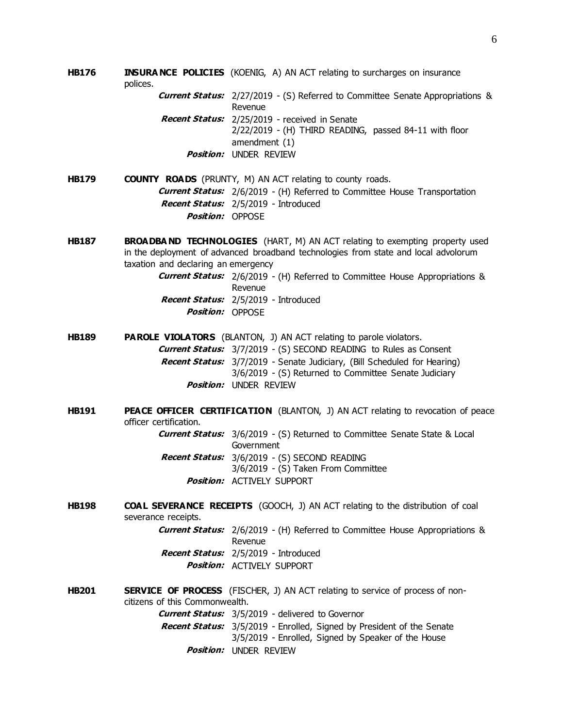**HB176 INSURA NCE POLICIES** (KOENIG, A) AN ACT relating to surcharges on insurance polices.

> **Current Status:** 2/27/2019 - (S) Referred to Committee Senate Appropriations & Revenue **Recent Status:** 2/25/2019 - received in Senate 2/22/2019 - (H) THIRD READING, passed 84-11 with floor

amendment (1) **Position:** UNDER REVIEW

**HB179 COUNTY ROADS** (PRUNTY, M) AN ACT relating to county roads. **Current Status:** 2/6/2019 - (H) Referred to Committee House Transportation **Recent Status:** 2/5/2019 - Introduced **Position:** OPPOSE

**HB187 BROADBA ND TECHNOLOGIES** (HART, M) AN ACT relating to exempting property used in the deployment of advanced broadband technologies from state and local advolorum taxation and declaring an emergency

> **Current Status:** 2/6/2019 - (H) Referred to Committee House Appropriations & Revenue **Recent Status:** 2/5/2019 - Introduced **Position:** OPPOSE

- **HB189 PAROLE VIOLATORS** (BLANTON, J) AN ACT relating to parole violators. **Current Status:** 3/7/2019 - (S) SECOND READING to Rules as Consent **Recent Status:** 3/7/2019 - Senate Judiciary, (Bill Scheduled for Hearing) 3/6/2019 - (S) Returned to Committee Senate Judiciary **Position:** UNDER REVIEW
- **HB191 PEACE OFFICER CERTIFICATION** (BLANTON, J) AN ACT relating to revocation of peace officer certification. **Current Status:** 3/6/2019 - (S) Returned to Committee Senate State & Local
	- Government **Recent Status:** 3/6/2019 - (S) SECOND READING 3/6/2019 - (S) Taken From Committee **Position:** ACTIVELY SUPPORT
- **HB198 COAL SEVERANCE RECEIPTS** (GOOCH, J) AN ACT relating to the distribution of coal severance receipts.
	- **Current Status:** 2/6/2019 (H) Referred to Committee House Appropriations & Revenue **Recent Status:** 2/5/2019 - Introduced **Position:** ACTIVELY SUPPORT
- **HB201 SERVICE OF PROCESS** (FISCHER, J) AN ACT relating to service of process of noncitizens of this Commonwealth. **Current Status:** 3/5/2019 - delivered to Governor **Recent Status:** 3/5/2019 - Enrolled, Signed by President of the Senate 3/5/2019 - Enrolled, Signed by Speaker of the House **Position:** UNDER REVIEW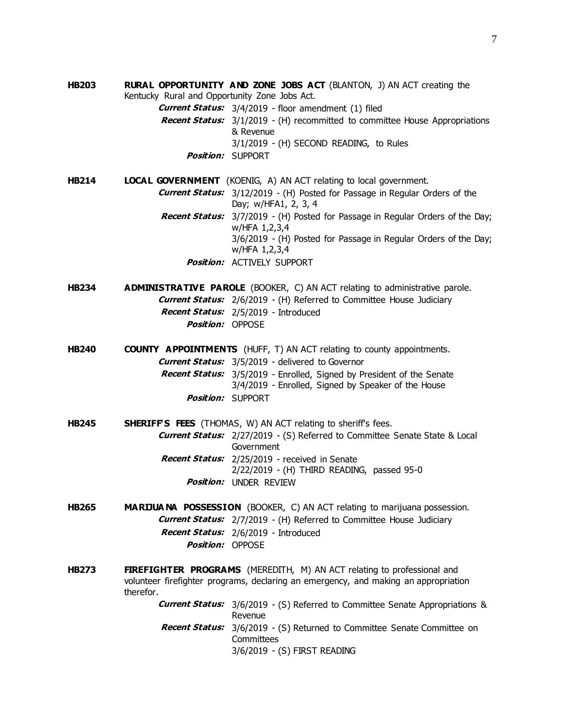**HB203 RURAL OPPORTUNITY AND ZONE JOBS ACT** (BLANTON, J) AN ACT creating the Kentucky Rural and Opportunity Zone Jobs Act. **Current Status:** 3/4/2019 - floor amendment (1) filed **Recent Status:** 3/1/2019 - (H) recommitted to committee House Appropriations & Revenue 3/1/2019 - (H) SECOND READING, to Rules **Position:** SUPPORT

**HB214 LOCAL GOVERNMENT** (KOENIG, A) AN ACT relating to local government. **Current Status:** 3/12/2019 - (H) Posted for Passage in Regular Orders of the Day; w/HFA1, 2, 3, 4 **Recent Status:** 3/7/2019 - (H) Posted for Passage in Regular Orders of the Day; w/HFA 1,2,3,4 3/6/2019 - (H) Posted for Passage in Regular Orders of the Day; w/HFA 1,2,3,4 **Position:** ACTIVELY SUPPORT

**HB234 ADMINISTRATIVE PAROLE** (BOOKER, C) AN ACT relating to administrative parole. **Current Status:** 2/6/2019 - (H) Referred to Committee House Judiciary **Recent Status:** 2/5/2019 - Introduced **Position:** OPPOSE

**HB240 COUNTY APPOINTMENTS** (HUFF, T) AN ACT relating to county appointments. **Current Status:** 3/5/2019 - delivered to Governor **Recent Status:** 3/5/2019 - Enrolled, Signed by President of the Senate 3/4/2019 - Enrolled, Signed by Speaker of the House **Position:** SUPPORT

- **HB245 SHERIFF'S FEES** (THOMAS, W) AN ACT relating to sheriff's fees. **Current Status:** 2/27/2019 - (S) Referred to Committee Senate State & Local Government **Recent Status:** 2/25/2019 - received in Senate 2/22/2019 - (H) THIRD READING, passed 95-0 **Position:** UNDER REVIEW
- **HB265 MARIJUA NA POSSESSION** (BOOKER, C) AN ACT relating to marijuana possession. **Current Status:** 2/7/2019 - (H) Referred to Committee House Judiciary **Recent Status:** 2/6/2019 - Introduced **Position:** OPPOSE
- **HB273 FIREFIGHTER PROGRAMS** (MEREDITH, M) AN ACT relating to professional and volunteer firefighter programs, declaring an emergency, and making an appropriation therefor.

**Current Status:** 3/6/2019 - (S) Referred to Committee Senate Appropriations & Revenue **Recent Status:** 3/6/2019 - (S) Returned to Committee Senate Committee on Committees 3/6/2019 - (S) FIRST READING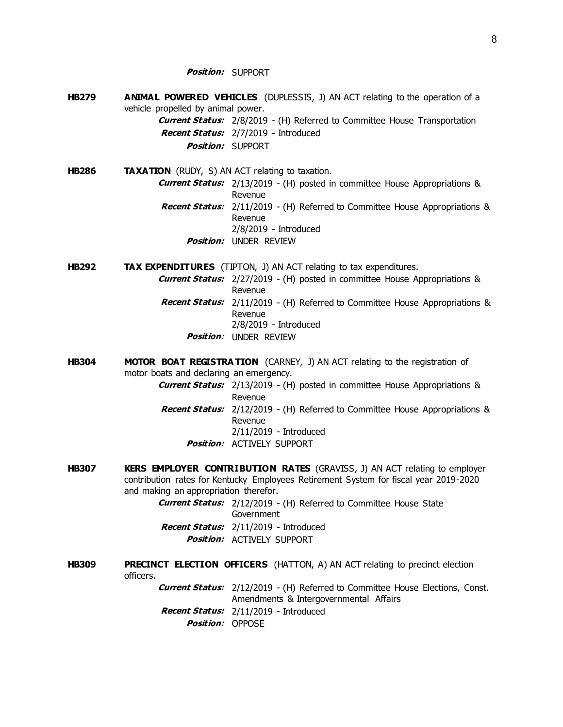**Position:** SUPPORT

- **HB279 ANIMAL POWERED VEHICLES** (DUPLESSIS, J) AN ACT relating to the operation of a vehicle propelled by animal power. **Current Status:** 2/8/2019 - (H) Referred to Committee House Transportation **Recent Status:** 2/7/2019 - Introduced **Position:** SUPPORT
- **HB286 TAXATION** (RUDY, S) AN ACT relating to taxation. **Current Status:** 2/13/2019 - (H) posted in committee House Appropriations & Revenue **Recent Status:** 2/11/2019 - (H) Referred to Committee House Appropriations & Revenue 2/8/2019 - Introduced **Position:** UNDER REVIEW

**HB292 TAX EXPENDITURES** (TIPTON, J) AN ACT relating to tax expenditures.

**Current Status:** 2/27/2019 - (H) posted in committee House Appropriations & Revenue **Recent Status:** 2/11/2019 - (H) Referred to Committee House Appropriations & Revenue 2/8/2019 - Introduced **Position:** UNDER REVIEW

**HB304 MOTOR BOAT REGISTRA TION** (CARNEY, J) AN ACT relating to the registration of motor boats and declaring an emergency. **Current Status:** 2/13/2019 - (H) posted in committee House Appropriations & Revenue **Recent Status:** 2/12/2019 - (H) Referred to Committee House Appropriations & Revenue 2/11/2019 - Introduced

**Position:** ACTIVELY SUPPORT

**HB307 KERS EMPLOYER CONTRIBUTION RATES** (GRAVISS, J) AN ACT relating to employer contribution rates for Kentucky Employees Retirement System for fiscal year 2019-2020 and making an appropriation therefor.

> **Current Status:** 2/12/2019 - (H) Referred to Committee House State Government **Recent Status:** 2/11/2019 - Introduced **Position:** ACTIVELY SUPPORT

**HB309 PRECINCT ELECTION OFFICERS** (HATTON, A) AN ACT relating to precinct election officers. **Current Status:** 2/12/2019 - (H) Referred to Committee House Elections, Const.

Amendments & Intergovernmental Affairs **Recent Status:** 2/11/2019 - Introduced **Position: OPPOSE**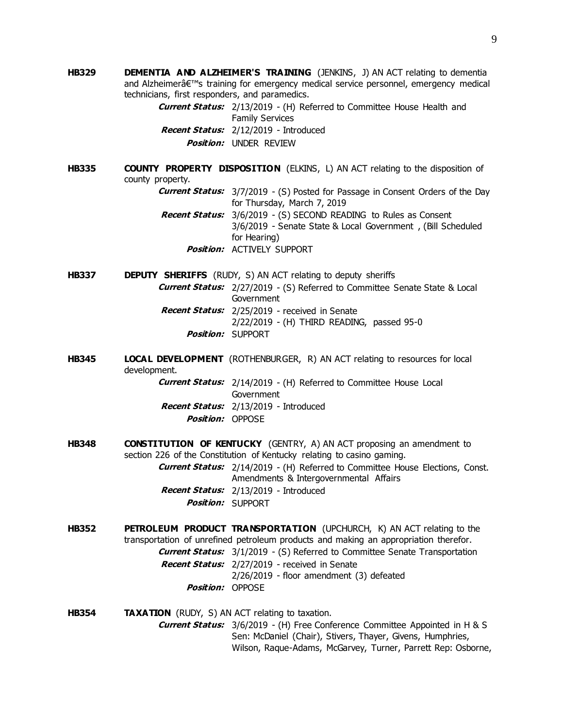**HB329 DEMENTIA AND ALZHEIMER'S TRAINING** (JENKINS, J) AN ACT relating to dementia and Alzheimer's training for emergency medical service personnel, emergency medical technicians, first responders, and paramedics.

> **Current Status:** 2/13/2019 - (H) Referred to Committee House Health and Family Services **Recent Status:** 2/12/2019 - Introduced **Position:** UNDER REVIEW

**HB335 COUNTY PROPERTY DISPOSITION** (ELKINS, L) AN ACT relating to the disposition of county property.

> **Current Status:** 3/7/2019 - (S) Posted for Passage in Consent Orders of the Day for Thursday, March 7, 2019

**Recent Status:** 3/6/2019 - (S) SECOND READING to Rules as Consent 3/6/2019 - Senate State & Local Government , (Bill Scheduled for Hearing) **Position:** ACTIVELY SUPPORT

**HB337 DEPUTY SHERIFFS** (RUDY, S) AN ACT relating to deputy sheriffs **Current Status:** 2/27/2019 - (S) Referred to Committee Senate State & Local **Government Recent Status:** 2/25/2019 - received in Senate 2/22/2019 - (H) THIRD READING, passed 95-0 **Position:** SUPPORT

**HB345 LOCAL DEVELOPMENT** (ROTHENBURGER, R) AN ACT relating to resources for local development.

> **Current Status:** 2/14/2019 - (H) Referred to Committee House Local Government **Recent Status:** 2/13/2019 - Introduced **Position:** OPPOSE

**HB348 CONSTITUTION OF KENTUCKY** (GENTRY, A) AN ACT proposing an amendment to section 226 of the Constitution of Kentucky relating to casino gaming.

**Current Status:** 2/14/2019 - (H) Referred to Committee House Elections, Const. Amendments & Intergovernmental Affairs **Recent Status:** 2/13/2019 - Introduced

- **Position:** SUPPORT
- **HB352 PETROLEUM PRODUCT TRANSPORTATION** (UPCHURCH, K) AN ACT relating to the transportation of unrefined petroleum products and making an appropriation therefor. **Current Status:** 3/1/2019 - (S) Referred to Committee Senate Transportation **Recent Status:** 2/27/2019 - received in Senate 2/26/2019 - floor amendment (3) defeated **Position:** OPPOSE

**HB354 TAXATION** (RUDY, S) AN ACT relating to taxation. **Current Status:** 3/6/2019 - (H) Free Conference Committee Appointed in H & S Sen: McDaniel (Chair), Stivers, Thayer, Givens, Humphries, Wilson, Raque-Adams, McGarvey, Turner, Parrett Rep: Osborne,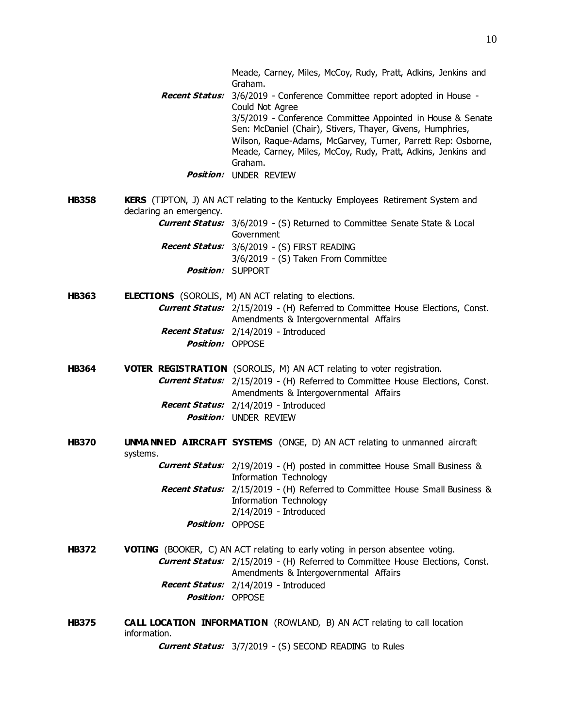- **Recent Status:** 3/6/2019 Conference Committee report adopted in House Could Not Agree 3/5/2019 - Conference Committee Appointed in House & Senate Sen: McDaniel (Chair), Stivers, Thayer, Givens, Humphries, Wilson, Raque-Adams, McGarvey, Turner, Parrett Rep: Osborne, Meade, Carney, Miles, McCoy, Rudy, Pratt, Adkins, Jenkins and Graham.
	- **Position:** UNDER REVIEW
- **HB358 KERS** (TIPTON, J) AN ACT relating to the Kentucky Employees Retirement System and declaring an emergency.

**Current Status:** 3/6/2019 - (S) Returned to Committee Senate State & Local **Government Recent Status:** 3/6/2019 - (S) FIRST READING

- 3/6/2019 (S) Taken From Committee **Position:** SUPPORT
- **HB363 ELECTIONS** (SOROLIS, M) AN ACT relating to elections. **Current Status:** 2/15/2019 - (H) Referred to Committee House Elections, Const. Amendments & Intergovernmental Affairs **Recent Status:** 2/14/2019 - Introduced **Position:** OPPOSE

**HB364 VOTER REGISTRATION** (SOROLIS, M) AN ACT relating to voter registration. **Current Status:** 2/15/2019 - (H) Referred to Committee House Elections, Const. Amendments & Intergovernmental Affairs **Recent Status:** 2/14/2019 - Introduced **Position:** UNDER REVIEW

**HB370 UNMA NNED AIRCRAFT SYSTEMS** (ONGE, D) AN ACT relating to unmanned aircraft systems.

> **Current Status:** 2/19/2019 - (H) posted in committee House Small Business & Information Technology **Recent Status:** 2/15/2019 - (H) Referred to Committee House Small Business & Information Technology 2/14/2019 - Introduced **Position:** OPPOSE

- **HB372 VOTING** (BOOKER, C) AN ACT relating to early voting in person absentee voting. **Current Status:** 2/15/2019 - (H) Referred to Committee House Elections, Const. Amendments & Intergovernmental Affairs **Recent Status:** 2/14/2019 - Introduced **Position:** OPPOSE
- **HB375 CALL LOCATION INFORMATION** (ROWLAND, B) AN ACT relating to call location information.

**Current Status:** 3/7/2019 - (S) SECOND READING to Rules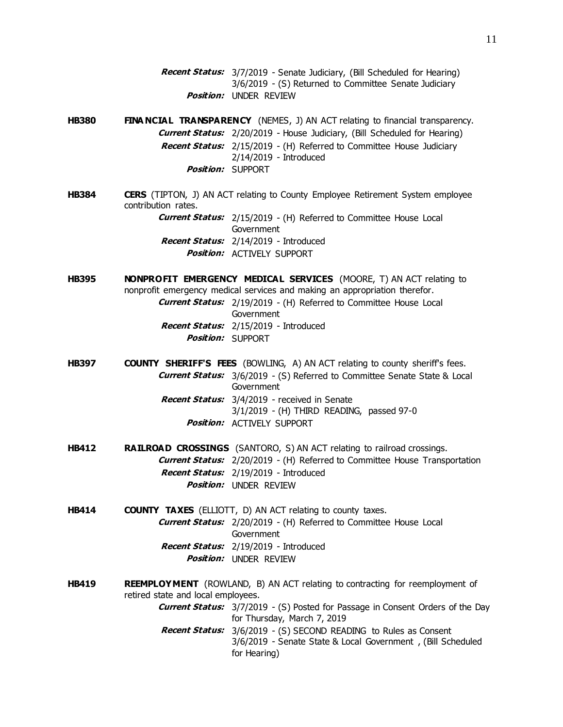- **Recent Status:** 3/7/2019 Senate Judiciary, (Bill Scheduled for Hearing) 3/6/2019 - (S) Returned to Committee Senate Judiciary **Position:** UNDER REVIEW
- **HB380 FINA NCIAL TRANSPARENCY** (NEMES, J) AN ACT relating to financial transparency. **Current Status:** 2/20/2019 - House Judiciary, (Bill Scheduled for Hearing) **Recent Status:** 2/15/2019 - (H) Referred to Committee House Judiciary 2/14/2019 - Introduced **Position:** SUPPORT
- **HB384 CERS** (TIPTON, J) AN ACT relating to County Employee Retirement System employee contribution rates. **Current Status:** 2/15/2019 - (H) Referred to Committee House Local Government

**Recent Status:** 2/14/2019 - Introduced **Position:** ACTIVELY SUPPORT

- **HB395 NONPROFIT EMERGENCY MEDICAL SERVICES** (MOORE, T) AN ACT relating to nonprofit emergency medical services and making an appropriation therefor. **Current Status:** 2/19/2019 - (H) Referred to Committee House Local Government **Recent Status:** 2/15/2019 - Introduced **Position:** SUPPORT
- **HB397 COUNTY SHERIFF'S FEES** (BOWLING, A) AN ACT relating to county sheriff's fees. **Current Status:** 3/6/2019 - (S) Referred to Committee Senate State & Local Government **Recent Status:** 3/4/2019 - received in Senate 3/1/2019 - (H) THIRD READING, passed 97-0 **Position:** ACTIVELY SUPPORT
- **HB412 RAILROAD CROSSINGS** (SANTORO, S) AN ACT relating to railroad crossings. **Current Status:** 2/20/2019 - (H) Referred to Committee House Transportation **Recent Status:** 2/19/2019 - Introduced **Position:** UNDER REVIEW
- **HB414 COUNTY TAXES** (ELLIOTT, D) AN ACT relating to county taxes. **Current Status:** 2/20/2019 - (H) Referred to Committee House Local **Government Recent Status:** 2/19/2019 - Introduced **Position:** UNDER REVIEW
- **HB419 REEMPLOYMENT** (ROWLAND, B) AN ACT relating to contracting for reemployment of retired state and local employees.
	- **Current Status:** 3/7/2019 (S) Posted for Passage in Consent Orders of the Day for Thursday, March 7, 2019
	- **Recent Status:** 3/6/2019 (S) SECOND READING to Rules as Consent 3/6/2019 - Senate State & Local Government , (Bill Scheduled for Hearing)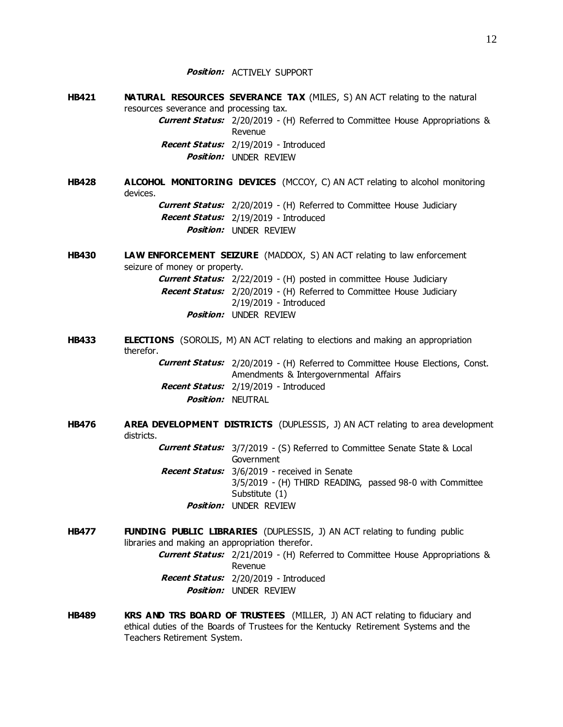**Position:** ACTIVELY SUPPORT

- **HB421 NATURAL RESOURCES SEVERANCE TAX** (MILES, S) AN ACT relating to the natural resources severance and processing tax. **Current Status:** 2/20/2019 - (H) Referred to Committee House Appropriations & Revenue **Recent Status:** 2/19/2019 - Introduced **Position:** UNDER REVIEW
- **HB428 ALCOHOL MONITORING DEVICES** (MCCOY, C) AN ACT relating to alcohol monitoring devices. **Current Status:** 2/20/2019 - (H) Referred to Committee House Judiciary **Recent Status:** 2/19/2019 - Introduced **Position:** UNDER REVIEW
- **HB430 LAW ENFORCEMENT SEIZURE** (MADDOX, S) AN ACT relating to law enforcement seizure of money or property.

**Current Status:** 2/22/2019 - (H) posted in committee House Judiciary **Recent Status:** 2/20/2019 - (H) Referred to Committee House Judiciary 2/19/2019 - Introduced **Position:** UNDER REVIEW

**HB433 ELECTIONS** (SOROLIS, M) AN ACT relating to elections and making an appropriation therefor.

> **Current Status:** 2/20/2019 - (H) Referred to Committee House Elections, Const. Amendments & Intergovernmental Affairs **Recent Status:** 2/19/2019 - Introduced **Position:** NEUTRAL

**HB476 AREA DEVELOPMENT DISTRICTS** (DUPLESSIS, J) AN ACT relating to area development districts.

> **Current Status:** 3/7/2019 - (S) Referred to Committee Senate State & Local Government **Recent Status:** 3/6/2019 - received in Senate

- 3/5/2019 (H) THIRD READING, passed 98-0 with Committee Substitute (1) **Position:** UNDER REVIEW
- **HB477 FUNDING PUBLIC LIBRARIES** (DUPLESSIS, J) AN ACT relating to funding public libraries and making an appropriation therefor. **Current Status:** 2/21/2019 - (H) Referred to Committee House Appropriations & Revenue **Recent Status:** 2/20/2019 - Introduced **Position:** UNDER REVIEW
- **HB489 KRS AND TRS BOARD OF TRUSTEES** (MILLER, J) AN ACT relating to fiduciary and ethical duties of the Boards of Trustees for the Kentucky Retirement Systems and the Teachers Retirement System.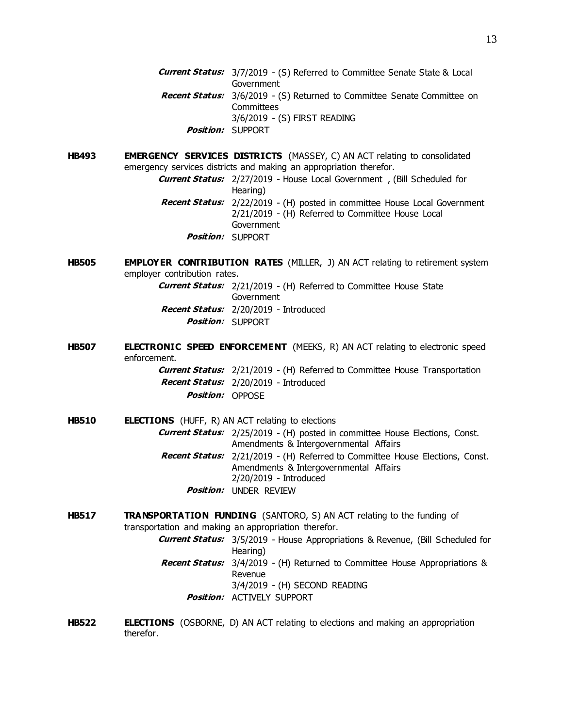- **Current Status:** 3/7/2019 (S) Referred to Committee Senate State & Local Government **Recent Status:** 3/6/2019 - (S) Returned to Committee Senate Committee on **Committees** 3/6/2019 - (S) FIRST READING **Position:** SUPPORT
- **HB493 EMERGENCY SERVICES DISTRICTS** (MASSEY, C) AN ACT relating to consolidated emergency services districts and making an appropriation therefor.
	- **Current Status:** 2/27/2019 House Local Government , (Bill Scheduled for Hearing) **Recent Status:** 2/22/2019 - (H) posted in committee House Local Government 2/21/2019 - (H) Referred to Committee House Local Government **Position:** SUPPORT
- **HB505 EMPLOYER CONTRIBUTION RATES** (MILLER, J) AN ACT relating to retirement system employer contribution rates.

**Current Status:** 2/21/2019 - (H) Referred to Committee House State Government **Recent Status:** 2/20/2019 - Introduced **Position:** SUPPORT

**HB507 ELECTRONIC SPEED ENFORCEMENT** (MEEKS, R) AN ACT relating to electronic speed enforcement.

> **Current Status:** 2/21/2019 - (H) Referred to Committee House Transportation **Recent Status:** 2/20/2019 - Introduced **Position:** OPPOSE

- **HB510 ELECTIONS** (HUFF, R) AN ACT relating to elections **Current Status:** 2/25/2019 - (H) posted in committee House Elections, Const. Amendments & Intergovernmental Affairs **Recent Status:** 2/21/2019 - (H) Referred to Committee House Elections, Const. Amendments & Intergovernmental Affairs 2/20/2019 - Introduced **Position:** UNDER REVIEW
- **HB517 TRANSPORTATION FUNDING** (SANTORO, S) AN ACT relating to the funding of transportation and making an appropriation therefor. **Current Status:** 3/5/2019 - House Appropriations & Revenue, (Bill Scheduled for Hearing) **Recent Status:** 3/4/2019 - (H) Returned to Committee House Appropriations & Revenue 3/4/2019 - (H) SECOND READING **Position:** ACTIVELY SUPPORT
- **HB522 ELECTIONS** (OSBORNE, D) AN ACT relating to elections and making an appropriation therefor.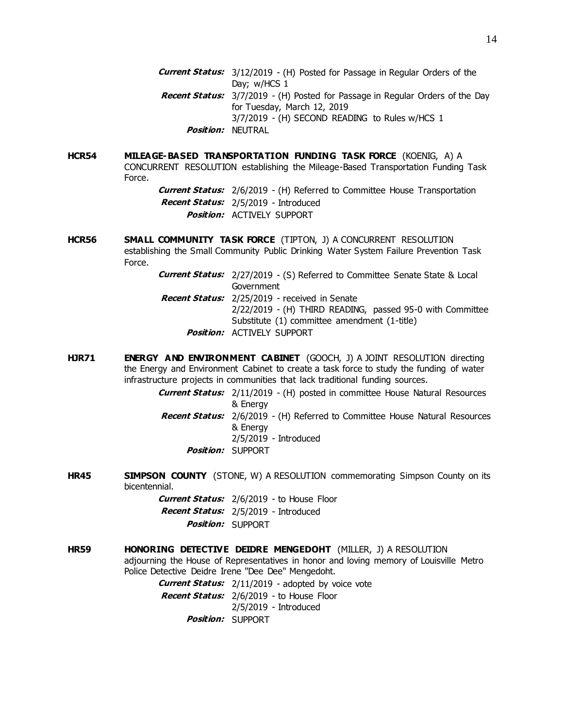**HCR54 MILEAGE-BASED TRANSPORTATION FUNDING TASK FORCE** (KOENIG, A) A CONCURRENT RESOLUTION establishing the Mileage-Based Transportation Funding Task Force.

> **Current Status:** 2/6/2019 - (H) Referred to Committee House Transportation **Recent Status:** 2/5/2019 - Introduced **Position:** ACTIVELY SUPPORT

**HCR56 SMALL COMMUNITY TASK FORCE** (TIPTON, J) A CONCURRENT RESOLUTION establishing the Small Community Public Drinking Water System Failure Prevention Task Force.

> **Current Status:** 2/27/2019 - (S) Referred to Committee Senate State & Local Government **Recent Status:** 2/25/2019 - received in Senate 2/22/2019 - (H) THIRD READING, passed 95-0 with Committee Substitute (1) committee amendment (1-title)

- **Position:** ACTIVELY SUPPORT
- **HJR71 ENERGY AND ENVIRONMENT CABINET** (GOOCH, J) A JOINT RESOLUTION directing the Energy and Environment Cabinet to create a task force to study the funding of water infrastructure projects in communities that lack traditional funding sources.

**Current Status:** 2/11/2019 - (H) posted in committee House Natural Resources & Energy **Recent Status:** 2/6/2019 - (H) Referred to Committee House Natural Resources & Energy 2/5/2019 - Introduced

- **Position:** SUPPORT
- **HR45 SIMPSON COUNTY** (STONE, W) A RESOLUTION commemorating Simpson County on its bicentennial.
	- **Current Status:** 2/6/2019 to House Floor **Recent Status:** 2/5/2019 - Introduced **Position:** SUPPORT
- **HR59 HONORING DETECTIVE DEIDRE MENGEDOHT** (MILLER, J) A RESOLUTION adjourning the House of Representatives in honor and loving memory of Louisville Metro Police Detective Deidre Irene "Dee Dee" Mengedoht.

**Current Status:** 2/11/2019 - adopted by voice vote

**Recent Status:** 2/6/2019 - to House Floor 2/5/2019 - Introduced

**Position:** SUPPORT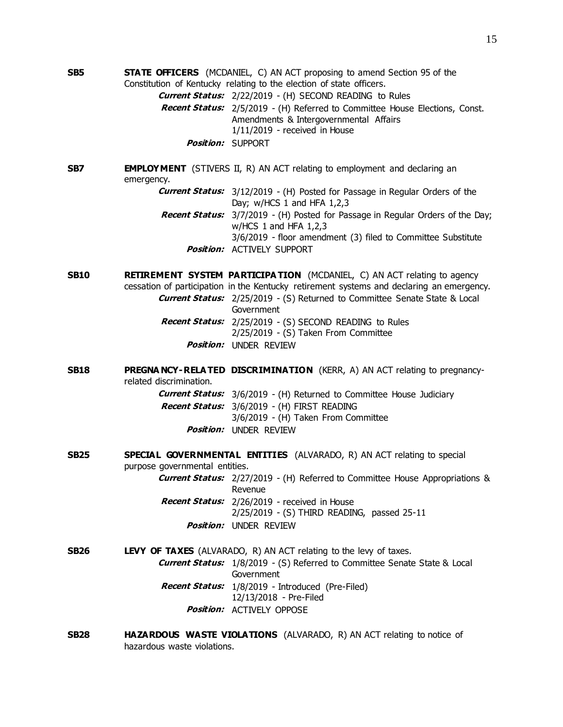**SB5 STATE OFFICERS** (MCDANIEL, C) AN ACT proposing to amend Section 95 of the Constitution of Kentucky relating to the election of state officers. **Current Status:** 2/22/2019 - (H) SECOND READING to Rules **Recent Status:** 2/5/2019 - (H) Referred to Committee House Elections, Const. Amendments & Intergovernmental Affairs 1/11/2019 - received in House **Position:** SUPPORT

**SB7 EMPLOYMENT** (STIVERS II, R) AN ACT relating to employment and declaring an emergency.

> **Current Status:** 3/12/2019 - (H) Posted for Passage in Regular Orders of the Day; w/HCS 1 and HFA 1,2,3

- **Recent Status:** 3/7/2019 (H) Posted for Passage in Regular Orders of the Day; w/HCS 1 and HFA 1,2,3 3/6/2019 - floor amendment (3) filed to Committee Substitute
	- **Position:** ACTIVELY SUPPORT

**SB10 <b>RETIREMENT SYSTEM PARTICIPATION** (MCDANIEL, C) AN ACT relating to agency cessation of participation in the Kentucky retirement systems and declaring an emergency. **Current Status:** 2/25/2019 - (S) Returned to Committee Senate State & Local Government **Recent Status:** 2/25/2019 - (S) SECOND READING to Rules 2/25/2019 - (S) Taken From Committee **Position:** UNDER REVIEW

**SB18 PREGNA NCY-RELA TED DISCRIMINATION** (KERR, A) AN ACT relating to pregnancyrelated discrimination.

> **Current Status:** 3/6/2019 - (H) Returned to Committee House Judiciary **Recent Status:** 3/6/2019 - (H) FIRST READING 3/6/2019 - (H) Taken From Committee **Position:** UNDER REVIEW

- **SB25 SPECIAL GOVERNMENTAL ENTITIES** (ALVARADO, R) AN ACT relating to special purpose governmental entities. **Current Status:** 2/27/2019 - (H) Referred to Committee House Appropriations & Revenue **Recent Status:** 2/26/2019 - received in House
	- 2/25/2019 (S) THIRD READING, passed 25-11 **Position:** UNDER REVIEW
- **SB26 LEVY OF TAXES** (ALVARADO, R) AN ACT relating to the levy of taxes. **Current Status:** 1/8/2019 - (S) Referred to Committee Senate State & Local Government **Recent Status:** 1/8/2019 - Introduced (Pre-Filed) 12/13/2018 - Pre-Filed **Position:** ACTIVELY OPPOSE
- **SB28 HAZARDOUS WASTE VIOLATIONS** (ALVARADO, R) AN ACT relating to notice of hazardous waste violations.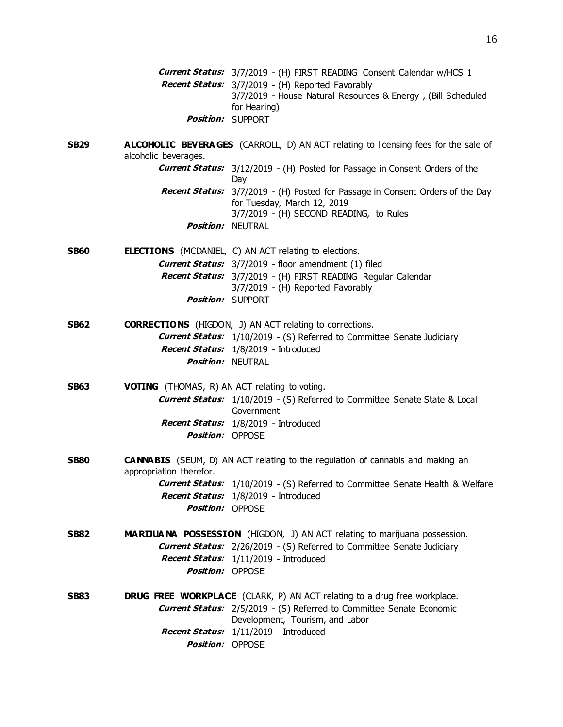**Current Status:** 3/7/2019 - (H) FIRST READING Consent Calendar w/HCS 1 **Recent Status:** 3/7/2019 - (H) Reported Favorably 3/7/2019 - House Natural Resources & Energy , (Bill Scheduled for Hearing) **Position:** SUPPORT

**SB29 ALCOHOLIC BEVERA GES** (CARROLL, D) AN ACT relating to licensing fees for the sale of alcoholic beverages.

> **Current Status:** 3/12/2019 - (H) Posted for Passage in Consent Orders of the Day **Recent Status:** 3/7/2019 - (H) Posted for Passage in Consent Orders of the Day for Tuesday, March 12, 2019 3/7/2019 - (H) SECOND READING, to Rules *Position:* NFUTRAL

**SB60 ELECTIONS** (MCDANIEL, C) AN ACT relating to elections. **Current Status:** 3/7/2019 - floor amendment (1) filed **Recent Status:** 3/7/2019 - (H) FIRST READING Regular Calendar 3/7/2019 - (H) Reported Favorably **Position:** SUPPORT

- **SB62 CORRECTIONS** (HIGDON, J) AN ACT relating to corrections. **Current Status:** 1/10/2019 - (S) Referred to Committee Senate Judiciary **Recent Status:** 1/8/2019 - Introduced *Position:* NFUTRAL
- **SB63 VOTING** (THOMAS, R) AN ACT relating to voting. **Current Status:** 1/10/2019 - (S) Referred to Committee Senate State & Local Government **Recent Status:** 1/8/2019 - Introduced **Position:** OPPOSE
- **SB80 CANNABIS** (SEUM, D) AN ACT relating to the regulation of cannabis and making an appropriation therefor. **Current Status:** 1/10/2019 - (S) Referred to Committee Senate Health & Welfare

**Recent Status:** 1/8/2019 - Introduced **Position:** OPPOSE

- **SB82 MARIJUA NA POSSESSION** (HIGDON, J) AN ACT relating to marijuana possession. **Current Status:** 2/26/2019 - (S) Referred to Committee Senate Judiciary **Recent Status:** 1/11/2019 - Introduced **Position:** OPPOSE
- **SB83 DRUG FREE WORKPLACE** (CLARK, P) AN ACT relating to a drug free workplace. **Current Status:** 2/5/2019 - (S) Referred to Committee Senate Economic Development, Tourism, and Labor **Recent Status:** 1/11/2019 - Introduced **Position:** OPPOSE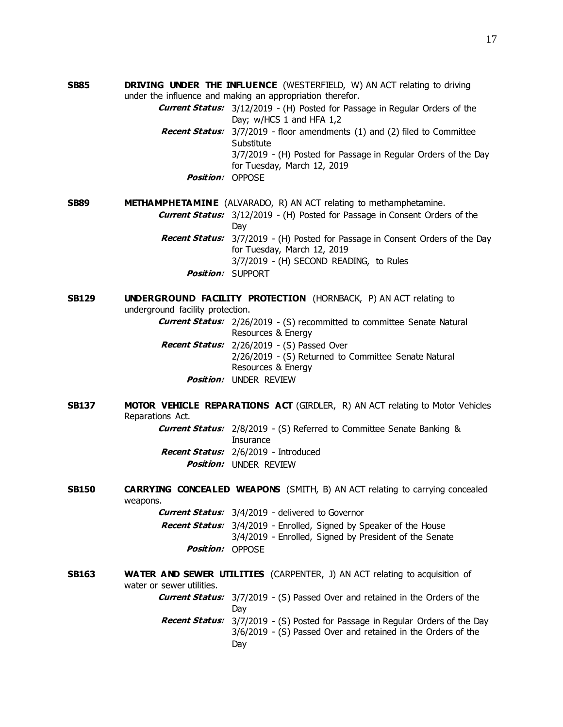**SB85 DRIVING UNDER THE INFLUENCE** (WESTERFIELD, W) AN ACT relating to driving under the influence and making an appropriation therefor.

> **Current Status:** 3/12/2019 - (H) Posted for Passage in Regular Orders of the Day; w/HCS 1 and HFA 1,2

- **Recent Status:** 3/7/2019 floor amendments (1) and (2) filed to Committee Substitute 3/7/2019 - (H) Posted for Passage in Regular Orders of the Day for Tuesday, March 12, 2019
	- **Position:** OPPOSE

## **SB89 METHAMPHETAMINE** (ALVARADO, R) AN ACT relating to methamphetamine.

**Current Status:** 3/12/2019 - (H) Posted for Passage in Consent Orders of the **Dav Recent Status:** 3/7/2019 - (H) Posted for Passage in Consent Orders of the Day

for Tuesday, March 12, 2019 3/7/2019 - (H) SECOND READING, to Rules **Position:** SUPPORT

## **SB129 <b>UNDERGROUND FACILITY PROTECTION** (HORNBACK, P) AN ACT relating to underground facility protection.

**Current Status:** 2/26/2019 - (S) recommitted to committee Senate Natural Resources & Energy **Recent Status:** 2/26/2019 - (S) Passed Over 2/26/2019 - (S) Returned to Committee Senate Natural Resources & Energy

- **Position:** UNDER REVIEW
- **SB137 MOTOR VEHICLE REPARATIONS ACT** (GIRDLER, R) AN ACT relating to Motor Vehicles Reparations Act.

**Current Status:** 2/8/2019 - (S) Referred to Committee Senate Banking & **Insurance Recent Status:** 2/6/2019 - Introduced **Position:** UNDER REVIEW

**SB150 CARRYING CONCEALED WEAPONS** (SMITH, B) AN ACT relating to carrying concealed weapons.

|                                | <b>Current Status:</b> 3/4/2019 - delivered to Governor                   |
|--------------------------------|---------------------------------------------------------------------------|
|                                | <b>Recent Status:</b> 3/4/2019 - Enrolled, Signed by Speaker of the House |
|                                | 3/4/2019 - Enrolled, Signed by President of the Senate                    |
| <b><i>Position:</i></b> OPPOSE |                                                                           |

**SB163 WATER AND SEWER UTILITIES** (CARPENTER, J) AN ACT relating to acquisition of water or sewer utilities. **Current Status:** 3/7/2019 - (S) Passed Over and retained in the Orders of the Day **Recent Status:** 3/7/2019 - (S) Posted for Passage in Regular Orders of the Day 3/6/2019 - (S) Passed Over and retained in the Orders of the Day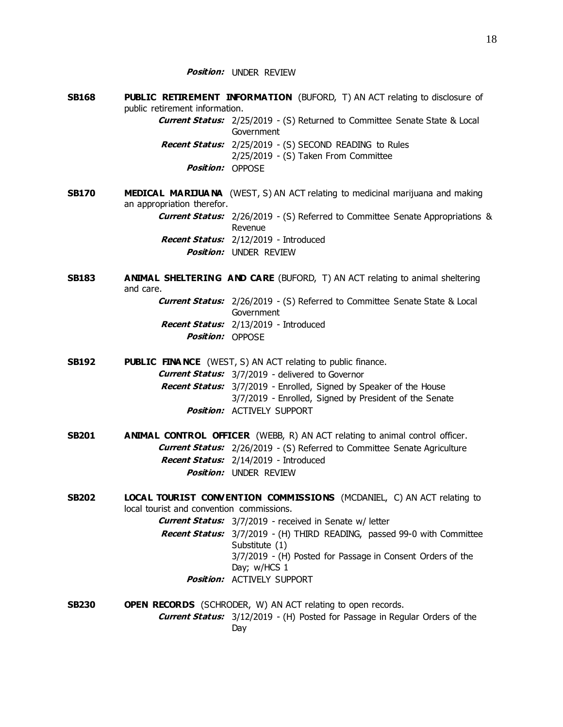- **SB168 PUBLIC RETIREMENT INFORMATION** (BUFORD, T) AN ACT relating to disclosure of public retirement information. **Current Status:** 2/25/2019 - (S) Returned to Committee Senate State & Local Government **Recent Status:** 2/25/2019 - (S) SECOND READING to Rules 2/25/2019 - (S) Taken From Committee **Position:** OPPOSE
- **SB170 MEDICAL MARIJUANA** (WEST, S) AN ACT relating to medicinal marijuana and making an appropriation therefor. **Current Status:** 2/26/2019 - (S) Referred to Committee Senate Appropriations & Revenue **Recent Status:** 2/12/2019 - Introduced **Position:** UNDER REVIEW
- **SB183 ANIMAL SHELTERING AND CARE** (BUFORD, T) AN ACT relating to animal sheltering and care.
	- **Current Status:** 2/26/2019 (S) Referred to Committee Senate State & Local Government **Recent Status:** 2/13/2019 - Introduced **Position:** OPPOSE
- **SB192 PUBLIC FINA NCE** (WEST, S) AN ACT relating to public finance. **Current Status:** 3/7/2019 - delivered to Governor **Recent Status:** 3/7/2019 - Enrolled, Signed by Speaker of the House 3/7/2019 - Enrolled, Signed by President of the Senate **Position:** ACTIVELY SUPPORT
- **SB201 ANIMAL CONTROL OFFICER** (WEBB, R) AN ACT relating to animal control officer. **Current Status:** 2/26/2019 - (S) Referred to Committee Senate Agriculture **Recent Status:** 2/14/2019 - Introduced **Position:** UNDER REVIEW
- **SB202 LOCAL TOURIST CONVENTION COMMISSIONS** (MCDANIEL, C) AN ACT relating to local tourist and convention commissions. **Current Status:** 3/7/2019 - received in Senate w/ letter
	- **Recent Status:** 3/7/2019 (H) THIRD READING, passed 99-0 with Committee
		- Substitute (1) 3/7/2019 - (H) Posted for Passage in Consent Orders of the Day; w/HCS 1
		- **Position:** ACTIVELY SUPPORT
- **SB230 OPEN RECORDS** (SCHRODER, W) AN ACT relating to open records. **Current Status:** 3/12/2019 - (H) Posted for Passage in Regular Orders of the Day